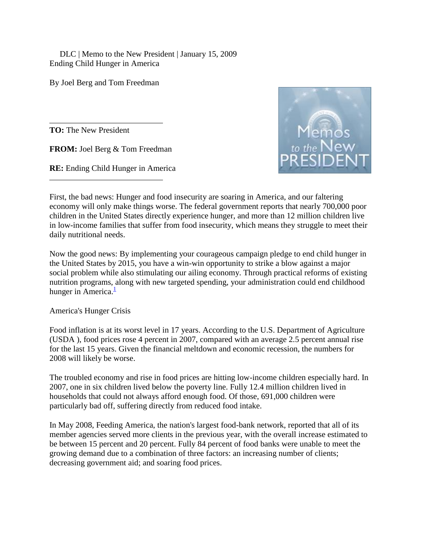DLC | Memo to the New President | January 15, 2009 Ending Child Hunger in America

By Joel Berg and Tom Freedman

**TO:** The New President

**FROM:** Joel Berg & Tom Freedman

**RE:** Ending Child Hunger in America



First, the bad news: Hunger and food insecurity are soaring in America, and our faltering economy will only make things worse. The federal government reports that nearly 700,000 poor children in the United States directly experience hunger, and more than 12 million children live in low-income families that suffer from food insecurity, which means they struggle to meet their daily nutritional needs.

Now the good news: By implementing your courageous campaign pledge to end child hunger in the United States by 2015, you have a win-win opportunity to strike a blow against a major social problem while also stimulating our ailing economy. Through practical reforms of existing nutrition programs, along with new targeted spending, your administration could end childhood hunger in America. $\frac{1}{1}$  $\frac{1}{1}$  $\frac{1}{1}$ 

America's Hunger Crisis

Food inflation is at its worst level in 17 years. According to the U.S. Department of Agriculture (USDA ), food prices rose 4 percent in 2007, compared with an average 2.5 percent annual rise for the last 15 years. Given the financial meltdown and economic recession, the numbers for 2008 will likely be worse.

The troubled economy and rise in food prices are hitting low-income children especially hard. In 2007, one in six children lived below the poverty line. Fully 12.4 million children lived in households that could not always afford enough food. Of those, 691,000 children were particularly bad off, suffering directly from reduced food intake.

In May 2008, Feeding America, the nation's largest food-bank network, reported that all of its member agencies served more clients in the previous year, with the overall increase estimated to be between 15 percent and 20 percent. Fully 84 percent of food banks were unable to meet the growing demand due to a combination of three factors: an increasing number of clients; decreasing government aid; and soaring food prices.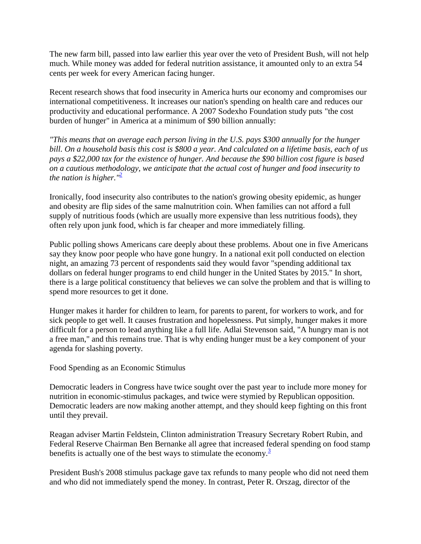The new farm bill, passed into law earlier this year over the veto of President Bush, will not help much. While money was added for federal nutrition assistance, it amounted only to an extra 54 cents per week for every American facing hunger.

Recent research shows that food insecurity in America hurts our economy and compromises our international competitiveness. It increases our nation's spending on health care and reduces our productivity and educational performance. A 2007 Sodexho Foundation study puts "the cost burden of hunger" in America at a minimum of \$90 billion annually:

*"This means that on average each person living in the U.S. pays \$300 annually for the hunger bill. On a household basis this cost is \$800 a year. And calculated on a lifetime basis, each of us pays a \$22,000 tax for the existence of hunger. And because the \$90 billion cost figure is based on a cautious methodology, we anticipate that the actual cost of hunger and food insecurity to the nation is higher.*<sup> $n^2$ </sup>

Ironically, food insecurity also contributes to the nation's growing obesity epidemic, as hunger and obesity are flip sides of the same malnutrition coin. When families can not afford a full supply of nutritious foods (which are usually more expensive than less nutritious foods), they often rely upon junk food, which is far cheaper and more immediately filling.

Public polling shows Americans care deeply about these problems. About one in five Americans say they know poor people who have gone hungry. In a national exit poll conducted on election night, an amazing 73 percent of respondents said they would favor "spending additional tax dollars on federal hunger programs to end child hunger in the United States by 2015." In short, there is a large political constituency that believes we can solve the problem and that is willing to spend more resources to get it done.

Hunger makes it harder for children to learn, for parents to parent, for workers to work, and for sick people to get well. It causes frustration and hopelessness. Put simply, hunger makes it more difficult for a person to lead anything like a full life. Adlai Stevenson said, "A hungry man is not a free man," and this remains true. That is why ending hunger must be a key component of your agenda for slashing poverty.

Food Spending as an Economic Stimulus

Democratic leaders in Congress have twice sought over the past year to include more money for nutrition in economic-stimulus packages, and twice were stymied by Republican opposition. Democratic leaders are now making another attempt, and they should keep fighting on this front until they prevail.

Reagan adviser Martin Feldstein, Clinton administration Treasury Secretary Robert Rubin, and Federal Reserve Chairman Ben Bernanke all agree that increased federal spending on food stamp benefits is actually one of the best ways to stimulate the economy. $\frac{3}{5}$  $\frac{3}{5}$  $\frac{3}{5}$ 

President Bush's 2008 stimulus package gave tax refunds to many people who did not need them and who did not immediately spend the money. In contrast, Peter R. Orszag, director of the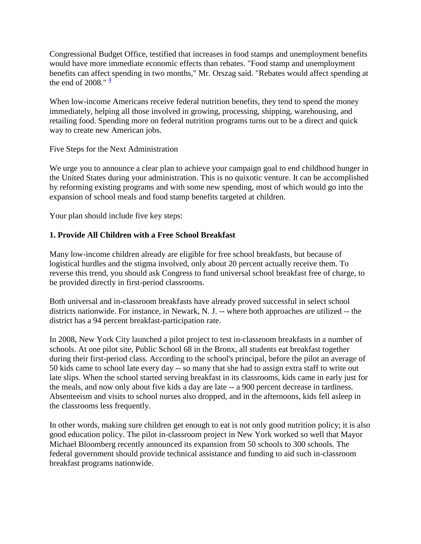Congressional Budget Office, testified that increases in food stamps and unemployment benefits would have more immediate economic effects than rebates. "Food stamp and unemployment benefits can affect spending in two months," Mr. Orszag said. "Rebates would affect spending at the end of 2008."  $\frac{4}{3}$  $\frac{4}{3}$  $\frac{4}{3}$ 

When low-income Americans receive federal nutrition benefits, they tend to spend the money immediately, helping all those involved in growing, processing, shipping, warehousing, and retailing food. Spending more on federal nutrition programs turns out to be a direct and quick way to create new American jobs.

Five Steps for the Next Administration

We urge you to announce a clear plan to achieve your campaign goal to end childhood hunger in the United States during your administration. This is no quixotic venture. It can be accomplished by reforming existing programs and with some new spending, most of which would go into the expansion of school meals and food stamp benefits targeted at children.

Your plan should include five key steps:

# **1. Provide All Children with a Free School Breakfast**

Many low-income children already are eligible for free school breakfasts, but because of logistical hurdles and the stigma involved, only about 20 percent actually receive them. To reverse this trend, you should ask Congress to fund universal school breakfast free of charge, to be provided directly in first-period classrooms.

Both universal and in-classroom breakfasts have already proved successful in select school districts nationwide. For instance, in Newark, N. J. -- where both approaches are utilized -- the district has a 94 percent breakfast-participation rate.

In 2008, New York City launched a pilot project to test in-classroom breakfasts in a number of schools. At one pilot site, Public School 68 in the Bronx, all students eat breakfast together during their first-period class. According to the school's principal, before the pilot an average of 50 kids came to school late every day -- so many that she had to assign extra staff to write out late slips. When the school started serving breakfast in its classrooms, kids came in early just for the meals, and now only about five kids a day are late -- a 900 percent decrease in tardiness. Absenteeism and visits to school nurses also dropped, and in the afternoons, kids fell asleep in the classrooms less frequently.

In other words, making sure children get enough to eat is not only good nutrition policy; it is also good education policy. The pilot in-classroom project in New York worked so well that Mayor Michael Bloomberg recently announced its expansion from 50 schools to 300 schools. The federal government should provide technical assistance and funding to aid such in-classroom breakfast programs nationwide.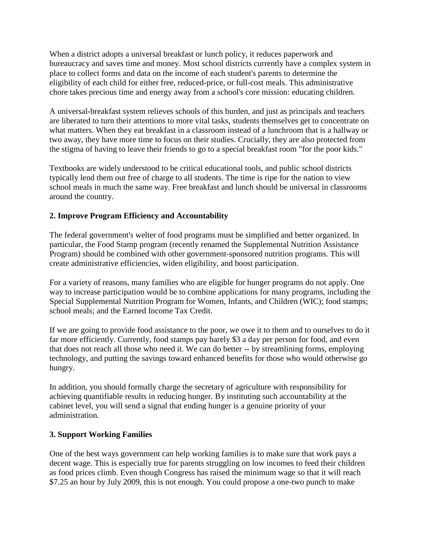When a district adopts a universal breakfast or lunch policy, it reduces paperwork and bureaucracy and saves time and money. Most school districts currently have a complex system in place to collect forms and data on the income of each student's parents to determine the eligibility of each child for either free, reduced-price, or full-cost meals. This administrative chore takes precious time and energy away from a school's core mission: educating children.

A universal-breakfast system relieves schools of this burden, and just as principals and teachers are liberated to turn their attentions to more vital tasks, students themselves get to concentrate on what matters. When they eat breakfast in a classroom instead of a lunchroom that is a hallway or two away, they have more time to focus on their studies. Crucially, they are also protected from the stigma of having to leave their friends to go to a special breakfast room "for the poor kids."

Textbooks are widely understood to be critical educational tools, and public school districts typically lend them out free of charge to all students. The time is ripe for the nation to view school meals in much the same way. Free breakfast and lunch should be universal in classrooms around the country.

# **2. Improve Program Efficiency and Accountability**

The federal government's welter of food programs must be simplified and better organized. In particular, the Food Stamp program (recently renamed the Supplemental Nutrition Assistance Program) should be combined with other government-sponsored nutrition programs. This will create administrative efficiencies, widen eligibility, and boost participation.

For a variety of reasons, many families who are eligible for hunger programs do not apply. One way to increase participation would be to combine applications for many programs, including the Special Supplemental Nutrition Program for Women, Infants, and Children (WIC); food stamps; school meals; and the Earned Income Tax Credit.

If we are going to provide food assistance to the poor, we owe it to them and to ourselves to do it far more efficiently. Currently, food stamps pay barely \$3 a day per person for food, and even that does not reach all those who need it. We can do better -- by streamlining forms, employing technology, and putting the savings toward enhanced benefits for those who would otherwise go hungry.

In addition, you should formally charge the secretary of agriculture with responsibility for achieving quantifiable results in reducing hunger. By instituting such accountability at the cabinet level, you will send a signal that ending hunger is a genuine priority of your administration.

# **3. Support Working Families**

One of the best ways government can help working families is to make sure that work pays a decent wage. This is especially true for parents struggling on low incomes to feed their children as food prices climb. Even though Congress has raised the minimum wage so that it will reach \$7.25 an hour by July 2009, this is not enough. You could propose a one-two punch to make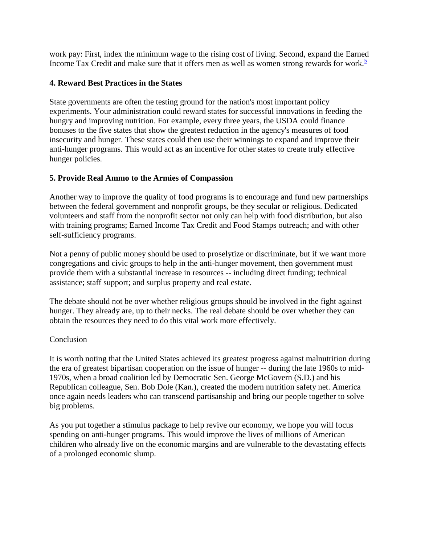work pay: First, index the minimum wage to the rising cost of living. Second, expand the Earned Income Tax Credit and make sure that it offers men as well as women strong rewards for work.<sup>[5](http://www.dlc.org/print.cfm?contentid=254836#endnotes)</sup>

### **4. Reward Best Practices in the States**

State governments are often the testing ground for the nation's most important policy experiments. Your administration could reward states for successful innovations in feeding the hungry and improving nutrition. For example, every three years, the USDA could finance bonuses to the five states that show the greatest reduction in the agency's measures of food insecurity and hunger. These states could then use their winnings to expand and improve their anti-hunger programs. This would act as an incentive for other states to create truly effective hunger policies.

#### **5. Provide Real Ammo to the Armies of Compassion**

Another way to improve the quality of food programs is to encourage and fund new partnerships between the federal government and nonprofit groups, be they secular or religious. Dedicated volunteers and staff from the nonprofit sector not only can help with food distribution, but also with training programs; Earned Income Tax Credit and Food Stamps outreach; and with other self-sufficiency programs.

Not a penny of public money should be used to proselytize or discriminate, but if we want more congregations and civic groups to help in the anti-hunger movement, then government must provide them with a substantial increase in resources -- including direct funding; technical assistance; staff support; and surplus property and real estate.

The debate should not be over whether religious groups should be involved in the fight against hunger. They already are, up to their necks. The real debate should be over whether they can obtain the resources they need to do this vital work more effectively.

#### **Conclusion**

It is worth noting that the United States achieved its greatest progress against malnutrition during the era of greatest bipartisan cooperation on the issue of hunger -- during the late 1960s to mid-1970s, when a broad coalition led by Democratic Sen. George McGovern (S.D.) and his Republican colleague, Sen. Bob Dole (Kan.), created the modern nutrition safety net. America once again needs leaders who can transcend partisanship and bring our people together to solve big problems.

As you put together a stimulus package to help revive our economy, we hope you will focus spending on anti-hunger programs. This would improve the lives of millions of American children who already live on the economic margins and are vulnerable to the devastating effects of a prolonged economic slump.